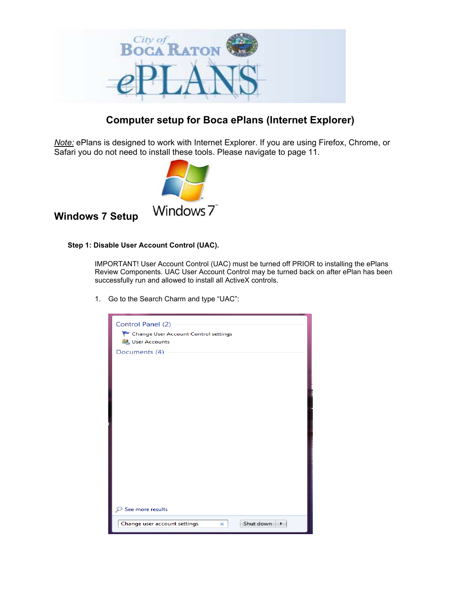

# **Computer setup for Boca ePlans (Internet Explorer)**

*Note:* ePlans is designed to work with Internet Explorer. If you are using Firefox, Chrome, or Safari you do not need to install these tools. Please navigate to page 11.



## **Windows 7 Setup**

### **Step 1: Disable User Account Control (UAC).**

IMPORTANT! User Account Control (UAC) must be turned off PRIOR to installing the ePlans Review Components. UAC User Account Control may be turned back on after ePlan has been successfully run and allowed to install all ActiveX controls.

1. Go to the Search Charm and type "UAC":

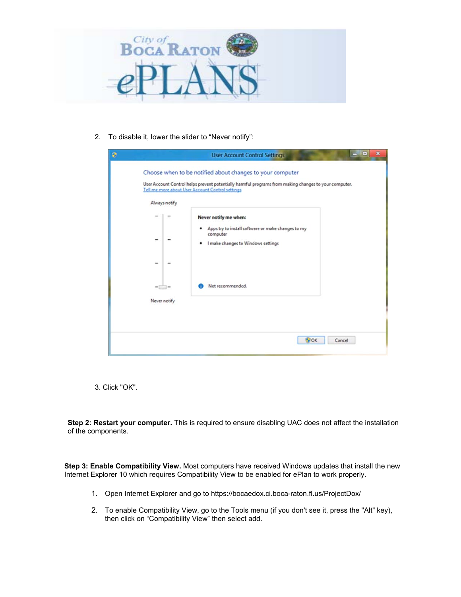

2. To disable it, lower the slider to "Never notify":

|              | Always notify |                                                                                                                                         |  |
|--------------|---------------|-----------------------------------------------------------------------------------------------------------------------------------------|--|
|              |               | Never notify me when:<br>Apps try to install software or make changes to my<br>٠<br>computer<br>I make changes to Windows settings<br>٠ |  |
| Never notify | $=$ $ -$      | Not recommended.                                                                                                                        |  |

3. Click "OK".

**Step 2: Restart your computer.** This is required to ensure disabling UAC does not affect the installation of the components.

**Step 3: Enable Compatibility View.** Most computers have received Windows updates that install the new Internet Explorer 10 which requires Compatibility View to be enabled for ePlan to work properly.

- 1. Open Internet Explorer and go to [https://bocaedox.ci.boca-raton.fl.us/ProjectDox/](https://bocaedox.ci.boca-raton.fl.us/ProjectDox)
- 2. To enable Compatibility View, go to the Tools menu (if you don't see it, press the "Alt" key), then click on "Compatibility View" then select add.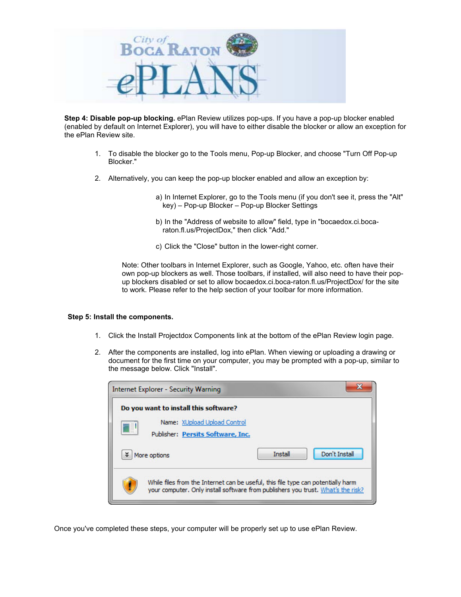

**Step 4: Disable pop-up blocking.** ePlan Review utilizes pop-ups. If you have a pop-up blocker enabled (enabled by default on Internet Explorer), you will have to either disable the blocker or allow an exception for the ePlan Review site.

- 1. To disable the blocker go to the Tools menu, Pop-up Blocker, and choose "Turn Off Pop-up Blocker."
- 2. Alternatively, you can keep the pop-up blocker enabled and allow an exception by:
	- a) In Internet Explorer, go to the Tools menu (if you don't see it, press the "Alt" key) – Pop-up Blocker – Pop-up Blocker Settings
	- b) In the "Address of website to allow" field, type in "bocaedox.ci.bocaraton.fl.us/ProjectDox," then click "Add."
	- c) Click the "Close" button in the lower-right corner.

Note: Other toolbars in Internet Explorer, such as Google, Yahoo, etc. often have their own pop-up blockers as well. Those toolbars, if installed, will also need to have their popup blockers disabled or set to allow bocaedox.ci.boca-raton.fl.us/ProjectDox/ for the site to work. Please refer to the help section of your toolbar for more information.

#### **Step 5: Install the components.**

- 1. Click the Install Projectdox Components link at the bottom of the ePlan Review login page.
- 2. After the components are installed, log into ePlan. When viewing or uploading a drawing or document for the first time on your computer, you may be prompted with a pop-up, similar to the message below. Click "Install".

| Internet Explorer - Security Warning                                                                                                                                 |                | x             |
|----------------------------------------------------------------------------------------------------------------------------------------------------------------------|----------------|---------------|
| Do you want to install this software?                                                                                                                                |                |               |
| Name: XUpload Upload Control                                                                                                                                         |                |               |
| B<br>Publisher: Persits Software, Inc.                                                                                                                               |                |               |
| More options                                                                                                                                                         | <b>Install</b> | Don't Install |
| While files from the Internet can be useful, this file type can potentially harm<br>your computer. Only install software from publishers you trust. What's the risk? |                |               |

Once you've completed these steps, your computer will be properly set up to use ePlan Review.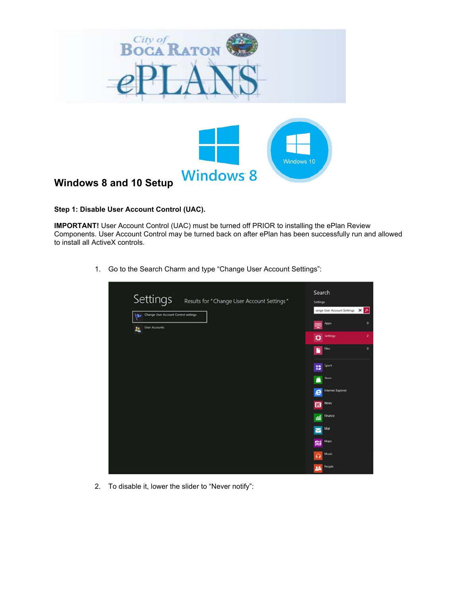

### **Step 1: Disable User Account Control (UAC).**

 to install all ActiveX controls. **IMPORTANT!** User Account Control (UAC) must be turned off PRIOR to installing the ePlan Review Components. User Account Control may be turned back on after ePlan has been successfully run and allowed

1. Go to the Search Charm and type "Change User Account Settings":

| Settings<br>Results for "Change User Account Settings" | Search<br><b>Settings</b>        |  |
|--------------------------------------------------------|----------------------------------|--|
| Change User Account Control settings                   | vange User Account Settings X    |  |
| User Accounts<br>盐                                     | Apps.                            |  |
|                                                        | Settings<br>۰                    |  |
|                                                        | $\blacksquare$                   |  |
|                                                        | Sport<br>8                       |  |
|                                                        | Shore<br>ñ                       |  |
|                                                        | Internet Explorer<br>е           |  |
|                                                        | <b>News</b><br>曱                 |  |
|                                                        | Finance<br>섴                     |  |
|                                                        | Mail<br>$\overline{\phantom{0}}$ |  |
|                                                        | Maps<br>麛                        |  |
|                                                        | Music<br>$\Omega$                |  |
|                                                        | People<br>28                     |  |

2. To disable it, lower the slider to "Never notify":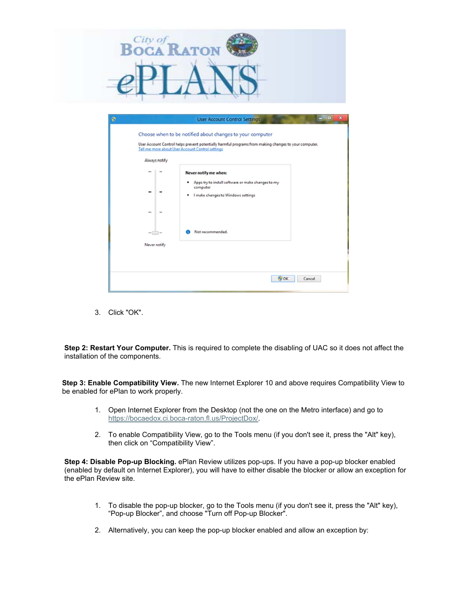

| ٥ |                          |               | <b>User Account Control Settings</b>                                                                                                                                                                                   | $\mathbf{z}$<br>$-$ Ho |
|---|--------------------------|---------------|------------------------------------------------------------------------------------------------------------------------------------------------------------------------------------------------------------------------|------------------------|
|   |                          | Always notify | Choose when to be notified about changes to your computer<br>User Account Control helps prevent potentially harmful programs from making changes to your computer.<br>Tell me more about User Account Control settings |                        |
|   |                          |               | Never notify me when:                                                                                                                                                                                                  |                        |
|   |                          |               | Apps try to install software or make changes to my<br>computer<br>I make changes to Windows settings                                                                                                                   |                        |
|   | $\overline{\phantom{a}}$ |               |                                                                                                                                                                                                                        |                        |
|   | - 1                      |               | Not recommended.                                                                                                                                                                                                       |                        |
|   | Never notify             |               |                                                                                                                                                                                                                        |                        |
|   |                          |               | <b>B</b> OK                                                                                                                                                                                                            | Cancel                 |

3. Click "OK".

**Step 2: Restart Your Computer.** This is required to complete the disabling of UAC so it does not affect the installation of the components.

**Step 3: Enable Compatibility View.** The new Internet Explorer 10 and above requires Compatibility View to be enabled for ePlan to work properly.

- 1. Open Internet Explorer from the Desktop (not the one on the Metro interface) and go to <https://bocaedox.ci.boca-raton.fl.us/ProjectDox>/.
- 2. To enable Compatibility View, go to the Tools menu (if you don't see it, press the "Alt" key), then click on "Compatibility View".

**Step 4: Disable Pop-up Blocking.** ePlan Review utilizes pop-ups. If you have a pop-up blocker enabled (enabled by default on Internet Explorer), you will have to either disable the blocker or allow an exception for the ePlan Review site.

- "Pop-up Blocker", and choose "Turn off Pop-up Blocker". 1. To disable the pop-up blocker, go to the Tools menu (if you don't see it, press the "Alt" key),
- 2. Alternatively, you can keep the pop-up blocker enabled and allow an exception by: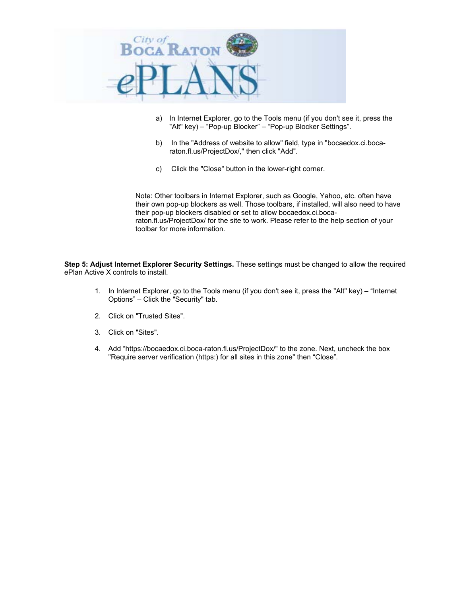

- a) In Internet Explorer, go to the Tools menu (if you don't see it, press the "Alt" key) – "Pop-up Blocker" – "Pop-up Blocker Settings".
- b) In the "Address of website to allow" field, type in "bocaedox.ci.bocaraton.fl.us/ProjectDox/," then click "Add".
- c) Click the "Close" button in the lower-right corner.

Note: Other toolbars in Internet Explorer, such as Google, Yahoo, etc. often have their own pop-up blockers as well. Those toolbars, if installed, will also need to have their pop-up blockers disabled or set to allow bocaedox.ci.bocaraton.fl.us/ProjectDox/ for the site to work. Please refer to the help section of your toolbar for more information.

**Step 5: Adjust Internet Explorer Security Settings.** These settings must be changed to allow the required ePlan Active X controls to install.

- 1. In Internet Explorer, go to the Tools menu (if you don't see it, press the "Alt" key) "Internet Options" – Click the "Security" tab.
- 2. Click on "Trusted Sites".
- 3. Click on "Sites".
- 4. Add "<https://bocaedox.ci.boca-raton.fl.us/ProjectDox>/" to the zone. Next, uncheck the box "Require server verification (https:) for all sites in this zone" then "Close".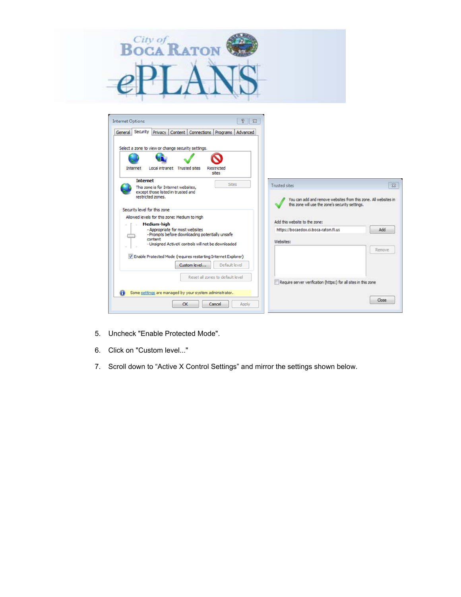



- 5. Uncheck "Enable Protected Mode".
- 6. Click on "Custom level..."
- 7. Scroll down to "Active X Control Settings" and mirror the settings shown below.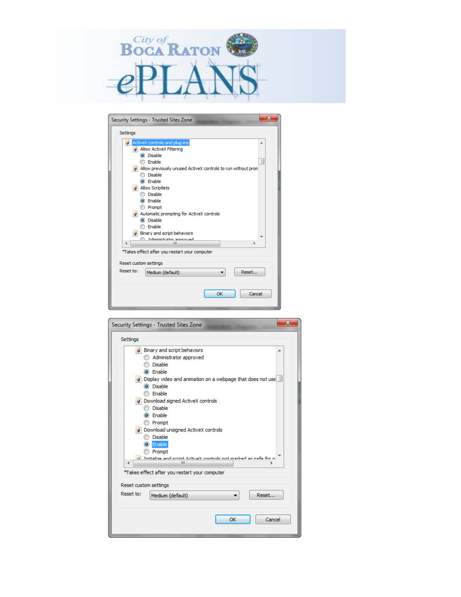

| Settings  |                                                              |       |
|-----------|--------------------------------------------------------------|-------|
|           | ActiveX controls and plug-ins                                | ▲     |
|           | <b>Allow ActiveX Filtering</b>                               |       |
|           | O Disable                                                    |       |
|           | <b>Enable</b>                                                |       |
|           | Allow previously unused ActiveX controls to run without prom |       |
|           | <b>Disable</b>                                               |       |
|           | C Enable                                                     |       |
|           | Allow Scriptlets                                             |       |
|           | Disable                                                      |       |
|           | C Enable                                                     |       |
|           | <b>Prompt</b>                                                |       |
|           | Automatic prompting for ActiveX controls                     |       |
|           | <b>O</b> Disable                                             |       |
|           | Enable                                                       |       |
|           | Binary and script behaviors                                  |       |
| ∢         | Administrator announad<br>ш                                  | þ     |
|           | *Takes effect after you restart your computer                |       |
|           |                                                              |       |
|           | Reset custom settings                                        |       |
| Reset to: | Medium (default)                                             | Reset |
|           |                                                              |       |
|           |                                                              |       |
|           |                                                              |       |

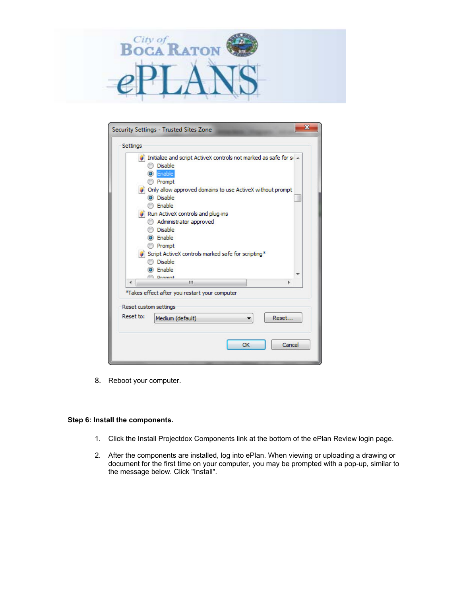

| Initialize and script ActiveX controls not marked as safe for si A<br><b>Disable</b><br>C Enable<br><b>Prompt</b><br>Only allow approved domains to use ActiveX without prompt<br><b>O</b> Disable<br><b>Enable</b><br>Run ActiveX controls and plug-ins<br>Administrator approved<br><b>Disable</b><br>C Enable<br><b>Prompt</b><br>Script ActiveX controls marked safe for scripting*<br><b>Disable</b><br>C Enable<br><b>Dramnt</b><br>m. | <b>Settings</b> |  |  |
|----------------------------------------------------------------------------------------------------------------------------------------------------------------------------------------------------------------------------------------------------------------------------------------------------------------------------------------------------------------------------------------------------------------------------------------------|-----------------|--|--|
|                                                                                                                                                                                                                                                                                                                                                                                                                                              |                 |  |  |
|                                                                                                                                                                                                                                                                                                                                                                                                                                              |                 |  |  |
|                                                                                                                                                                                                                                                                                                                                                                                                                                              |                 |  |  |
|                                                                                                                                                                                                                                                                                                                                                                                                                                              |                 |  |  |
|                                                                                                                                                                                                                                                                                                                                                                                                                                              |                 |  |  |
|                                                                                                                                                                                                                                                                                                                                                                                                                                              |                 |  |  |
|                                                                                                                                                                                                                                                                                                                                                                                                                                              |                 |  |  |
|                                                                                                                                                                                                                                                                                                                                                                                                                                              |                 |  |  |
|                                                                                                                                                                                                                                                                                                                                                                                                                                              |                 |  |  |
|                                                                                                                                                                                                                                                                                                                                                                                                                                              |                 |  |  |
|                                                                                                                                                                                                                                                                                                                                                                                                                                              |                 |  |  |
|                                                                                                                                                                                                                                                                                                                                                                                                                                              |                 |  |  |
|                                                                                                                                                                                                                                                                                                                                                                                                                                              |                 |  |  |
|                                                                                                                                                                                                                                                                                                                                                                                                                                              |                 |  |  |
|                                                                                                                                                                                                                                                                                                                                                                                                                                              |                 |  |  |
|                                                                                                                                                                                                                                                                                                                                                                                                                                              | d.              |  |  |
|                                                                                                                                                                                                                                                                                                                                                                                                                                              |                 |  |  |
|                                                                                                                                                                                                                                                                                                                                                                                                                                              |                 |  |  |
|                                                                                                                                                                                                                                                                                                                                                                                                                                              |                 |  |  |
| Reset custom settings                                                                                                                                                                                                                                                                                                                                                                                                                        |                 |  |  |
| Reset to:<br>Reset<br>Medium (default)                                                                                                                                                                                                                                                                                                                                                                                                       |                 |  |  |
|                                                                                                                                                                                                                                                                                                                                                                                                                                              |                 |  |  |

8. Reboot your computer.

### **Step 6: Install the components.**

- 1. Click the Install Projectdox Components link at the bottom of the ePlan Review login page.
- 2. After the components are installed, log into ePlan. When viewing or uploading a drawing or document for the first time on your computer, you may be prompted with a pop-up, similar to the message below. Click "Install".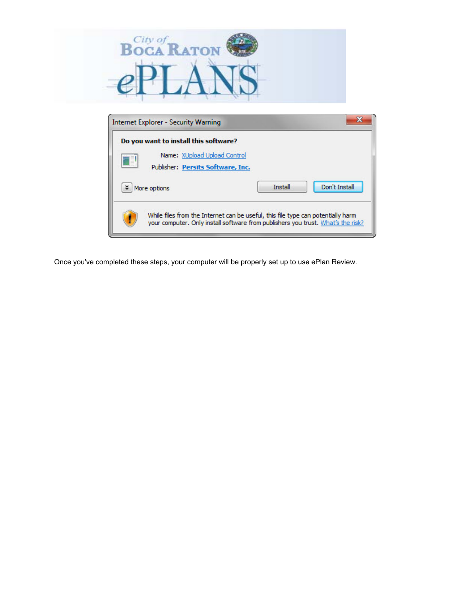

| B | Name: XUpload Upload Control<br>Publisher: Persits Software, Inc. |                |               |
|---|-------------------------------------------------------------------|----------------|---------------|
| ४ | More options                                                      | <b>Install</b> | Don't Install |

Once you've completed these steps, your computer will be properly set up to use ePlan Review.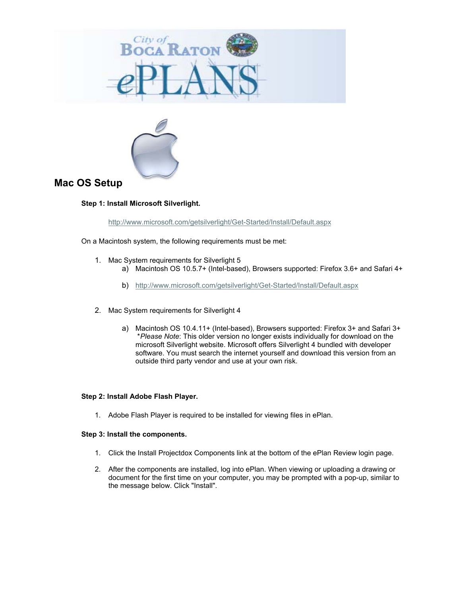



## **Mac OS Setup**

### **Step 1: Install Microsoft Silverlight.**

<http://www.microsoft.com/getsilverlight/Get-Started/Install/Default.aspx>

On a Macintosh system, the following requirements must be met:

- 1. Mac System requirements for Silverlight 5
	- a) Macintosh OS 10.5.7+ (Intel-based), Browsers supported: Firefox 3.6+ and Safari 4+
		- b) <http://www.microsoft.com/getsilverlight/Get-Started/Install/Default.aspx>
- 2. Mac System requirements for Silverlight 4
	- a) Macintosh OS 10.4.11+ (Intel-based), Browsers supported: Firefox 3+ and Safari 3+ \**Please Note*: This older version no longer exists individually for download on the microsoft Silverlight website. Microsoft offers Silverlight 4 bundled with developer software. You must search the internet yourself and download this version from an outside third party vendor and use at your own risk.

#### **Step 2: Install Adobe Flash Player.**

1. Adobe Flash Player is required to be installed for viewing files in ePlan.

#### **Step 3: Install the components.**

- 1. Click the Install Projectdox Components link at the bottom of the ePlan Review login page.
- 2. After the components are installed, log into ePlan. When viewing or uploading a drawing or document for the first time on your computer, you may be prompted with a pop-up, similar to the message below. Click "Install".